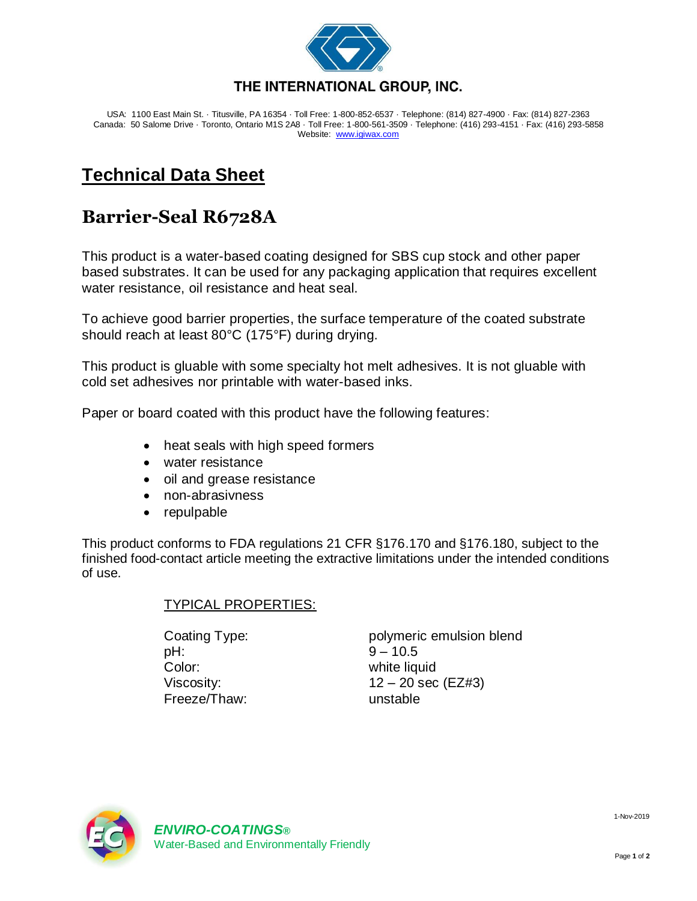

USA: 1100 East Main St. · Titusville, PA 16354 · Toll Free: 1-800-852-6537 · Telephone: (814) 827-4900 · Fax: (814) 827-2363 Canada: 50 Salome Drive · Toronto, Ontario M1S 2A8 · Toll Free: 1-800-561-3509 · Telephone: (416) 293-4151 · Fax: (416) 293-5858 Website: [www.igiwax.com](http://www.igiwax.com/)

## **Technical Data Sheet**

## **Barrier-Seal R6728A**

This product is a water-based coating designed for SBS cup stock and other paper based substrates. It can be used for any packaging application that requires excellent water resistance, oil resistance and heat seal.

To achieve good barrier properties, the surface temperature of the coated substrate should reach at least 80°C (175°F) during drying.

This product is gluable with some specialty hot melt adhesives. It is not gluable with cold set adhesives nor printable with water-based inks.

Paper or board coated with this product have the following features:

- heat seals with high speed formers
- water resistance
- oil and grease resistance
- non-abrasivness
- repulpable

This product conforms to FDA regulations 21 CFR §176.170 and §176.180, subject to the finished food-contact article meeting the extractive limitations under the intended conditions of use.

## TYPICAL PROPERTIES:

pH: 9 – 10.5 Color: white liquid Freeze/Thaw: unstable

Coating Type: polymeric emulsion blend Viscosity:  $12 - 20 \text{ sec}$  (EZ#3)



1-Nov-2019